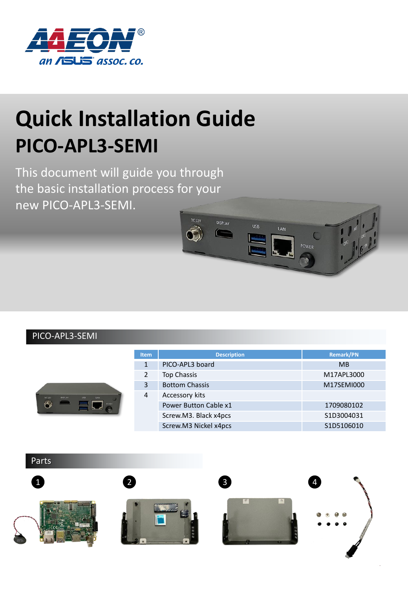

## **Quick Installation Guide PICO-APL3-SEMI**

This document will guide you through the basic installation process for your new PICO-APL3-SEMI.



## PICO-APL3-SEMI

 $\hat{\sigma}$ 

| POWER<br>G | <b>Item</b> | <b>Description</b>    | <b>Remark/PN</b> |
|------------|-------------|-----------------------|------------------|
|            | 1           | PICO-APL3 board       | <b>MB</b>        |
|            | 2           | Top Chassis           | M17APL3000       |
|            | 3           | <b>Bottom Chassis</b> | M17SEMI000       |
|            | 4           | Accessory kits        |                  |
|            |             | Power Button Cable x1 | 1709080102       |
|            |             | Screw.M3. Black x4pcs | S1D3004031       |
|            |             | Screw.M3 Nickel x4pcs | S1D5106010       |

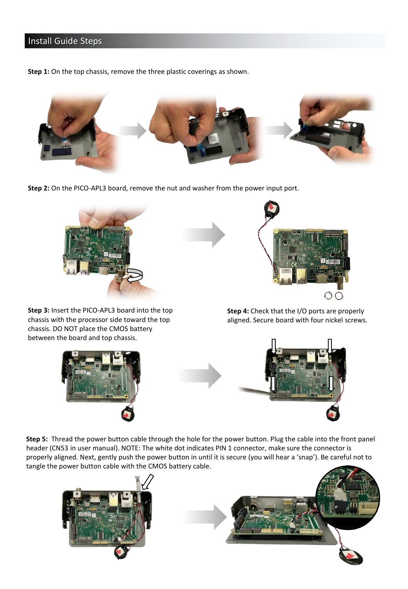## **Install Guide Steps**

**Step 1:** On the top chassis, remove the three plastic coverings as shown.



**Step 2:** On the PICO-APL3 board, remove the nut and washer from the power input port.



**Step 3:** Insert the PICO-APL3 board into the top chassis with the processor side toward the top chassis. DO NOT place the CMOS battery between the board and top chassis.





**Step 4:** Check that the I/O ports are properly aligned. Secure board with four nickel screws.



**Step 5:** Thread the power button cable through the hole for the power button. Plug the cable into the front panel header (CN53 in user manual). NOTE: The white dot indicates PIN 1 connector, make sure the connector is properly aligned. Next, gently push the power button in until it is secure (you will hear a 'snap'). Be careful not to tangle the power button cable with the CMOS battery cable.